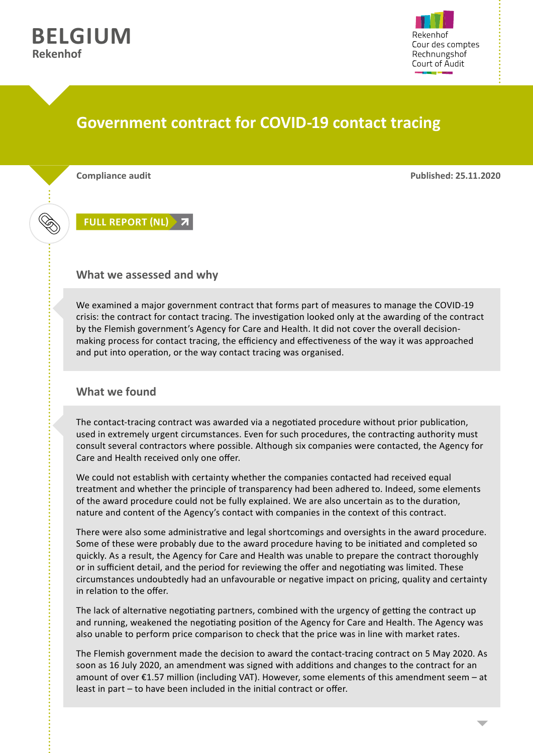



## **Government contract for COVID-19 contact tracing**

**Compliance audit Published: 25.11.2020**

**[FULL REPORT \(NL\)](https://www.rekenhof.be/docs/2020_38_ContactopsporingCOVID19.pdf)**

## **What we assessed and why**

We examined a major government contract that forms part of measures to manage the COVID-19 crisis: the contract for contact tracing. The investigation looked only at the awarding of the contract by the Flemish government's Agency for Care and Health. It did not cover the overall decisionmaking process for contact tracing, the efficiency and effectiveness of the way it was approached and put into operation, or the way contact tracing was organised.

## **What we found**

The contact-tracing contract was awarded via a negotiated procedure without prior publication, used in extremely urgent circumstances. Even for such procedures, the contracting authority must consult several contractors where possible. Although six companies were contacted, the Agency for Care and Health received only one offer.

We could not establish with certainty whether the companies contacted had received equal treatment and whether the principle of transparency had been adhered to. Indeed, some elements of the award procedure could not be fully explained. We are also uncertain as to the duration, nature and content of the Agency's contact with companies in the context of this contract.

There were also some administrative and legal shortcomings and oversights in the award procedure. Some of these were probably due to the award procedure having to be initiated and completed so quickly. As a result, the Agency for Care and Health was unable to prepare the contract thoroughly or in sufficient detail, and the period for reviewing the offer and negotiating was limited. These circumstances undoubtedly had an unfavourable or negative impact on pricing, quality and certainty in relation to the offer.

The lack of alternative negotiating partners, combined with the urgency of getting the contract up and running, weakened the negotiating position of the Agency for Care and Health. The Agency was also unable to perform price comparison to check that the price was in line with market rates.

The Flemish government made the decision to award the contact-tracing contract on 5 May 2020. As soon as 16 July 2020, an amendment was signed with additions and changes to the contract for an amount of over €1.57 million (including VAT). However, some elements of this amendment seem – at least in part – to have been included in the initial contract or offer.